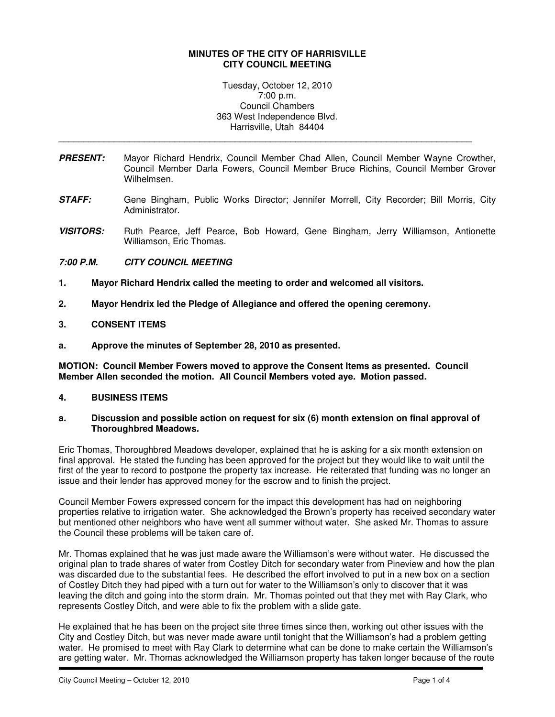### **MINUTES OF THE CITY OF HARRISVILLE CITY COUNCIL MEETING**

Tuesday, October 12, 2010 7:00 p.m. Council Chambers 363 West Independence Blvd. Harrisville, Utah 84404

\_\_\_\_\_\_\_\_\_\_\_\_\_\_\_\_\_\_\_\_\_\_\_\_\_\_\_\_\_\_\_\_\_\_\_\_\_\_\_\_\_\_\_\_\_\_\_\_\_\_\_\_\_\_\_\_\_\_\_\_\_\_\_\_\_\_\_\_\_\_\_\_\_\_\_\_\_\_\_\_\_\_

- **PRESENT:** Mayor Richard Hendrix, Council Member Chad Allen, Council Member Wayne Crowther, Council Member Darla Fowers, Council Member Bruce Richins, Council Member Grover Wilhelmsen.
- **STAFF:** Gene Bingham, Public Works Director; Jennifer Morrell, City Recorder; Bill Morris, City Administrator.
- **VISITORS:** Ruth Pearce, Jeff Pearce, Bob Howard, Gene Bingham, Jerry Williamson, Antionette Williamson, Eric Thomas.

## **7:00 P.M. CITY COUNCIL MEETING**

- **1. Mayor Richard Hendrix called the meeting to order and welcomed all visitors.**
- **2. Mayor Hendrix led the Pledge of Allegiance and offered the opening ceremony.**

### **3. CONSENT ITEMS**

**a. Approve the minutes of September 28, 2010 as presented.** 

**MOTION: Council Member Fowers moved to approve the Consent Items as presented. Council Member Allen seconded the motion. All Council Members voted aye. Motion passed.** 

### **4. BUSINESS ITEMS**

### **a. Discussion and possible action on request for six (6) month extension on final approval of Thoroughbred Meadows.**

Eric Thomas, Thoroughbred Meadows developer, explained that he is asking for a six month extension on final approval. He stated the funding has been approved for the project but they would like to wait until the first of the year to record to postpone the property tax increase. He reiterated that funding was no longer an issue and their lender has approved money for the escrow and to finish the project.

Council Member Fowers expressed concern for the impact this development has had on neighboring properties relative to irrigation water. She acknowledged the Brown's property has received secondary water but mentioned other neighbors who have went all summer without water. She asked Mr. Thomas to assure the Council these problems will be taken care of.

Mr. Thomas explained that he was just made aware the Williamson's were without water. He discussed the original plan to trade shares of water from Costley Ditch for secondary water from Pineview and how the plan was discarded due to the substantial fees. He described the effort involved to put in a new box on a section of Costley Ditch they had piped with a turn out for water to the Williamson's only to discover that it was leaving the ditch and going into the storm drain. Mr. Thomas pointed out that they met with Ray Clark, who represents Costley Ditch, and were able to fix the problem with a slide gate.

He explained that he has been on the project site three times since then, working out other issues with the City and Costley Ditch, but was never made aware until tonight that the Williamson's had a problem getting water. He promised to meet with Ray Clark to determine what can be done to make certain the Williamson's are getting water. Mr. Thomas acknowledged the Williamson property has taken longer because of the route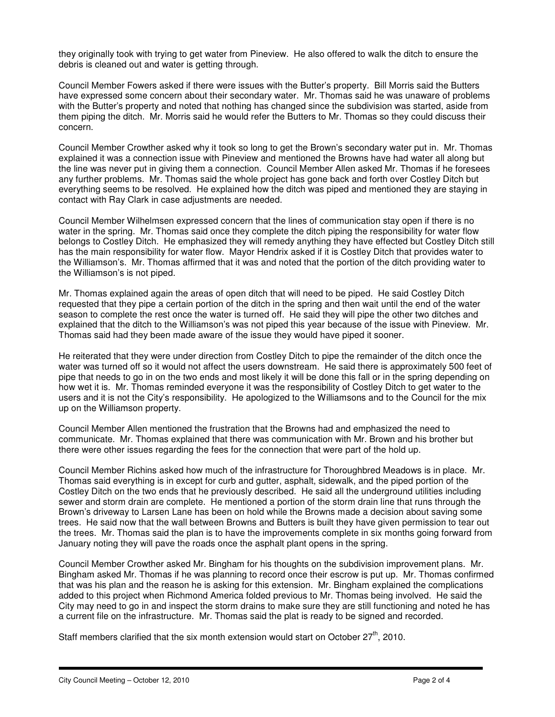they originally took with trying to get water from Pineview. He also offered to walk the ditch to ensure the debris is cleaned out and water is getting through.

Council Member Fowers asked if there were issues with the Butter's property. Bill Morris said the Butters have expressed some concern about their secondary water. Mr. Thomas said he was unaware of problems with the Butter's property and noted that nothing has changed since the subdivision was started, aside from them piping the ditch. Mr. Morris said he would refer the Butters to Mr. Thomas so they could discuss their concern.

Council Member Crowther asked why it took so long to get the Brown's secondary water put in. Mr. Thomas explained it was a connection issue with Pineview and mentioned the Browns have had water all along but the line was never put in giving them a connection. Council Member Allen asked Mr. Thomas if he foresees any further problems. Mr. Thomas said the whole project has gone back and forth over Costley Ditch but everything seems to be resolved. He explained how the ditch was piped and mentioned they are staying in contact with Ray Clark in case adjustments are needed.

Council Member Wilhelmsen expressed concern that the lines of communication stay open if there is no water in the spring. Mr. Thomas said once they complete the ditch piping the responsibility for water flow belongs to Costley Ditch. He emphasized they will remedy anything they have effected but Costley Ditch still has the main responsibility for water flow. Mayor Hendrix asked if it is Costley Ditch that provides water to the Williamson's. Mr. Thomas affirmed that it was and noted that the portion of the ditch providing water to the Williamson's is not piped.

Mr. Thomas explained again the areas of open ditch that will need to be piped. He said Costley Ditch requested that they pipe a certain portion of the ditch in the spring and then wait until the end of the water season to complete the rest once the water is turned off. He said they will pipe the other two ditches and explained that the ditch to the Williamson's was not piped this year because of the issue with Pineview. Mr. Thomas said had they been made aware of the issue they would have piped it sooner.

He reiterated that they were under direction from Costley Ditch to pipe the remainder of the ditch once the water was turned off so it would not affect the users downstream. He said there is approximately 500 feet of pipe that needs to go in on the two ends and most likely it will be done this fall or in the spring depending on how wet it is. Mr. Thomas reminded everyone it was the responsibility of Costley Ditch to get water to the users and it is not the City's responsibility. He apologized to the Williamsons and to the Council for the mix up on the Williamson property.

Council Member Allen mentioned the frustration that the Browns had and emphasized the need to communicate. Mr. Thomas explained that there was communication with Mr. Brown and his brother but there were other issues regarding the fees for the connection that were part of the hold up.

Council Member Richins asked how much of the infrastructure for Thoroughbred Meadows is in place. Mr. Thomas said everything is in except for curb and gutter, asphalt, sidewalk, and the piped portion of the Costley Ditch on the two ends that he previously described. He said all the underground utilities including sewer and storm drain are complete. He mentioned a portion of the storm drain line that runs through the Brown's driveway to Larsen Lane has been on hold while the Browns made a decision about saving some trees. He said now that the wall between Browns and Butters is built they have given permission to tear out the trees. Mr. Thomas said the plan is to have the improvements complete in six months going forward from January noting they will pave the roads once the asphalt plant opens in the spring.

Council Member Crowther asked Mr. Bingham for his thoughts on the subdivision improvement plans. Mr. Bingham asked Mr. Thomas if he was planning to record once their escrow is put up. Mr. Thomas confirmed that was his plan and the reason he is asking for this extension. Mr. Bingham explained the complications added to this project when Richmond America folded previous to Mr. Thomas being involved. He said the City may need to go in and inspect the storm drains to make sure they are still functioning and noted he has a current file on the infrastructure. Mr. Thomas said the plat is ready to be signed and recorded.

Staff members clarified that the six month extension would start on October  $27<sup>th</sup>$ . 2010.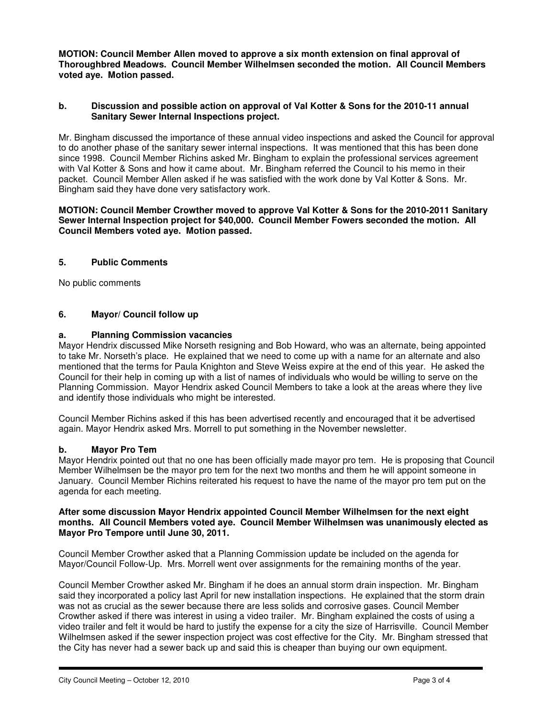**MOTION: Council Member Allen moved to approve a six month extension on final approval of Thoroughbred Meadows. Council Member Wilhelmsen seconded the motion. All Council Members voted aye. Motion passed.** 

### **b. Discussion and possible action on approval of Val Kotter & Sons for the 2010-11 annual Sanitary Sewer Internal Inspections project.**

Mr. Bingham discussed the importance of these annual video inspections and asked the Council for approval to do another phase of the sanitary sewer internal inspections. It was mentioned that this has been done since 1998. Council Member Richins asked Mr. Bingham to explain the professional services agreement with Val Kotter & Sons and how it came about. Mr. Bingham referred the Council to his memo in their packet. Council Member Allen asked if he was satisfied with the work done by Val Kotter & Sons. Mr. Bingham said they have done very satisfactory work.

### **MOTION: Council Member Crowther moved to approve Val Kotter & Sons for the 2010-2011 Sanitary Sewer Internal Inspection project for \$40,000. Council Member Fowers seconded the motion. All Council Members voted aye. Motion passed.**

## **5. Public Comments**

No public comments

### **6. Mayor/ Council follow up**

### **a. Planning Commission vacancies**

Mayor Hendrix discussed Mike Norseth resigning and Bob Howard, who was an alternate, being appointed to take Mr. Norseth's place. He explained that we need to come up with a name for an alternate and also mentioned that the terms for Paula Knighton and Steve Weiss expire at the end of this year. He asked the Council for their help in coming up with a list of names of individuals who would be willing to serve on the Planning Commission. Mayor Hendrix asked Council Members to take a look at the areas where they live and identify those individuals who might be interested.

Council Member Richins asked if this has been advertised recently and encouraged that it be advertised again. Mayor Hendrix asked Mrs. Morrell to put something in the November newsletter.

### **b. Mayor Pro Tem**

Mayor Hendrix pointed out that no one has been officially made mayor pro tem. He is proposing that Council Member Wilhelmsen be the mayor pro tem for the next two months and them he will appoint someone in January. Council Member Richins reiterated his request to have the name of the mayor pro tem put on the agenda for each meeting.

#### **After some discussion Mayor Hendrix appointed Council Member Wilhelmsen for the next eight months. All Council Members voted aye. Council Member Wilhelmsen was unanimously elected as Mayor Pro Tempore until June 30, 2011.**

Council Member Crowther asked that a Planning Commission update be included on the agenda for Mayor/Council Follow-Up. Mrs. Morrell went over assignments for the remaining months of the year.

Council Member Crowther asked Mr. Bingham if he does an annual storm drain inspection. Mr. Bingham said they incorporated a policy last April for new installation inspections. He explained that the storm drain was not as crucial as the sewer because there are less solids and corrosive gases. Council Member Crowther asked if there was interest in using a video trailer. Mr. Bingham explained the costs of using a video trailer and felt it would be hard to justify the expense for a city the size of Harrisville. Council Member Wilhelmsen asked if the sewer inspection project was cost effective for the City. Mr. Bingham stressed that the City has never had a sewer back up and said this is cheaper than buying our own equipment.